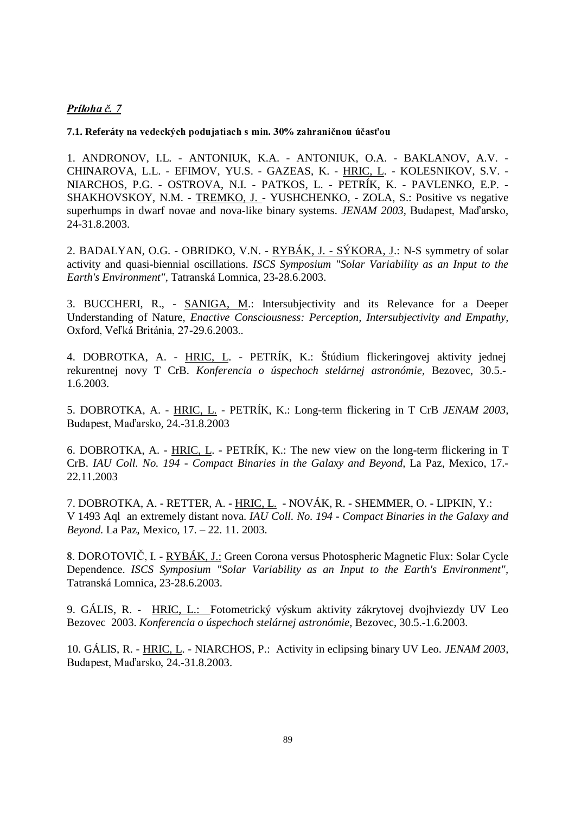## Príloha č. 7

**7.1. Referáty** 

1. ANDRONOV, I.L. - ANTONIUK, K.A. - ANTONIUK, O.A. - BAKLANOV, A.V. - CHINAROVA, L.L. - EFIMOV, YU.S. - GAZEAS, K. - HRIC, L. - KOLESNIKOV, S.V. - NIARCHOS, P.G. - OSTROVA, N.I. - PATKOS, L. - PETRÍK, K. - PAVLENKO, E.P. - SHAKHOVSKOY, N.M. - TREMKO, J. - YUSHCHENKO, - ZOLA, S.: Positive vs negative superhumps in dwarf novae and nova-like binary systems. *JENAM 2003*, Budapest, Mad'arsko, 24-31.8.2003.

2. BADALYAN, O.G. - OBRIDKO, V.N. - RYBÁK, J. - SÝKORA, J.: N-S symmetry of solar activity and quasi-biennial oscillations. *ISCS Symposium "Solar Variability as an Input to the Earth's Environment",* Tatranská Lomnica*,* 23-28.6.2003.

3. BUCCHERI, R., - SANIGA, M.: Intersubjectivity and its Relevance for a Deeper Understanding of Nature*, Enactive Consciousness: Perception, Intersubjectivity and Empathy,* Oxford, Veľká Británia, 27-29.6.2003..

4. DOBROTKA, A. - HRIC, L. - PETRÍK, K.: Štúdium flickeringovej aktivity jednej rekurentnej novy T CrB. *Konferencia o úspechoch stelárnej astronómie,* Bezovec, 30.5.- 1.6.2003.

5. DOBROTKA, A. - HRIC, L. - PETRÍK, K.: Long-term flickering in T CrB *JENAM 2003,*  Budapest, Maďarsko, 24.-31.8.2003

6. DOBROTKA, A. - HRIC, L. - PETRÍK, K.: The new view on the long-term flickering in T CrB. *IAU Coll. No. 194 - Compact Binaries in the Galaxy and Beyond,* La Paz, Mexico, 17.- 22.11.2003

7. DOBROTKA, A. - RETTER, A. - HRIC, L. - NOVÁK, R. - SHEMMER, O. - LIPKIN, Y.: V 1493 Aql an extremely distant nova. *IAU Coll. No. 194 - Compact Binaries in the Galaxy and Beyond.* La Paz, Mexico*,* 17. – 22. 11. 2003.

8. DOROTOVIČ, I. - RYBÁK, J.: Green Corona versus Photospheric Magnetic Flux: Solar Cycle Dependence. *ISCS Symposium "Solar Variability as an Input to the Earth's Environment",*  Tatranská Lomnica*,* 23-28.6.2003.

9. GÁLIS, R. - HRIC, L.: Fotometrický výskum aktivity zákrytovej dvojhviezdy UV Leo Bezovec 2003. *Konferencia o úspechoch stelárnej astronómie*, Bezovec, 30.5.-1.6.2003.

10. GÁLIS, R. - HRIC, L. - NIARCHOS, P.: Activity in eclipsing binary UV Leo. *JENAM 2003,*  Budapest, Maďarsko, 24.-31.8.2003.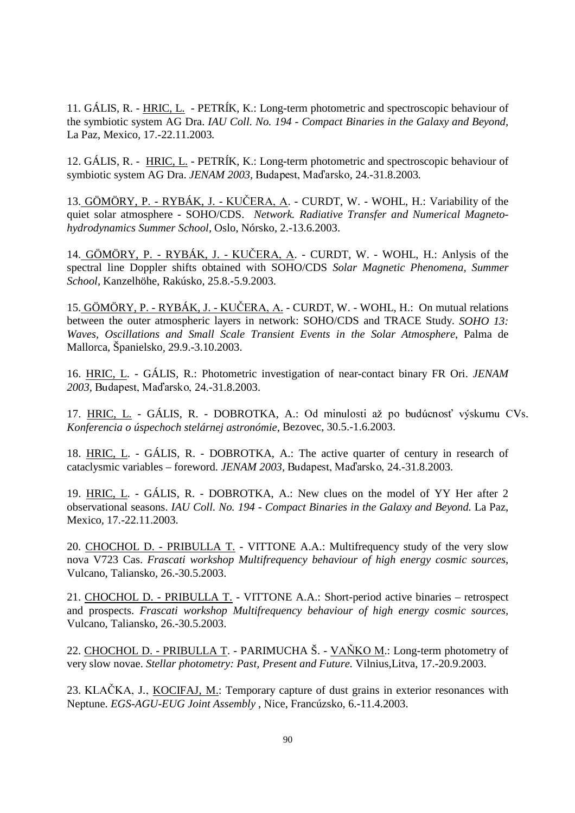11. GÁLIS, R. - HRIC, L. - PETRÍK, K.: Long-term photometric and spectroscopic behaviour of the symbiotic system AG Dra. *IAU Coll. No. 194 - Compact Binaries in the Galaxy and Beyond,*  La Paz, Mexico*,* 17.-22.11.2003*.* 

12. GÁLIS, R. - HRIC, L. - PETRÍK, K.: Long-term photometric and spectroscopic behaviour of symbiotic system AG Dra. *JENAM 2003*, Budapest, Maďarsko, 24.-31.8.2003.

13. GÖMÖRY, P. - RYBÁK, J. - KUČERA, A. - CURDT, W. - WOHL, H.: Variability of the quiet solar atmosphere - SOHO/CDS. *Network. Radiative Transfer and Numerical Magnetohydrodynamics Summer School,* Oslo, Nórsko, 2.-13.6.2003.

14.  $\overrightarrow{GOMORY}$ , P. - RYBÁK, J. - KUČERA, A. - CURDT, W. - WOHL, H.: Anlysis of the spectral line Doppler shifts obtained with SOHO/CDS *Solar Magnetic Phenomena, Summer School,* Kanzelhöhe, Rakúsko, 25.8.-5.9.2003.

15. GÖMÖRY, P. - RYBÁK, J. - KUČERA, A. - CURDT, W. - WOHL, H.: On mutual relations between the outer atmospheric layers in network: SOHO/CDS and TRACE Study. *SOHO 13: Waves, Oscillations and Small Scale Transient Events in the Solar Atmosphere,* Palma de Mallorca, Španielsko*,* 29.9.-3.10.2003.

16. HRIC, L. - GÁLIS, R.: Photometric investigation of near-contact binary FR Ori. *JENAM*  2003, Budapest, Maďarsko, 24.-31.8.2003.

17. HRIC, L. - GÁLIS, R. - DOBROTKA, A.: Od minulosti až po budúcnosť výskumu CVs. *Konferencia o úspechoch stelárnej astronómie,* Bezovec, 30.5.-1.6.2003.

18. HRIC, L. - GÁLIS, R. - DOBROTKA, A.: The active quarter of century in research of cataclysmic variables - foreword. *JENAM 2003*, Budapest, Maďarsko, 24.-31.8.2003.

19. HRIC, L. - GÁLIS, R. - DOBROTKA, A.: New clues on the model of YY Her after 2 observational seasons. *IAU Coll. No. 194 - Compact Binaries in the Galaxy and Beyond.* La Paz, Mexico*,* 17.-22.11.2003.

20. CHOCHOL D. - PRIBULLA T. - VITTONE A.A.: Multifrequency study of the very slow nova V723 Cas. *Frascati workshop Multifrequency behaviour of high energy cosmic sources,*  Vulcano, Taliansko, 26.-30.5.2003.

21. CHOCHOL D. - PRIBULLA T. - VITTONE A.A.: Short-period active binaries – retrospect and prospects. *Frascati workshop Multifrequency behaviour of high energy cosmic sources,*  Vulcano, Taliansko, 26.-30.5.2003.

22. CHOCHOL D. - PRIBULLA T. - PARIMUCHA Š. - VAŇKO M.: Long-term photometry of very slow novae. *Stellar photometry: Past, Present and Future.* Vilnius*,*Litva, 17.-20.9.2003.

23. KLAČKA, J., KOCIFAJ, M.: Temporary capture of dust grains in exterior resonances with Neptune. *EGS-AGU-EUG Joint Assembly* , Nice, Francúzsko, 6.-11.4.2003.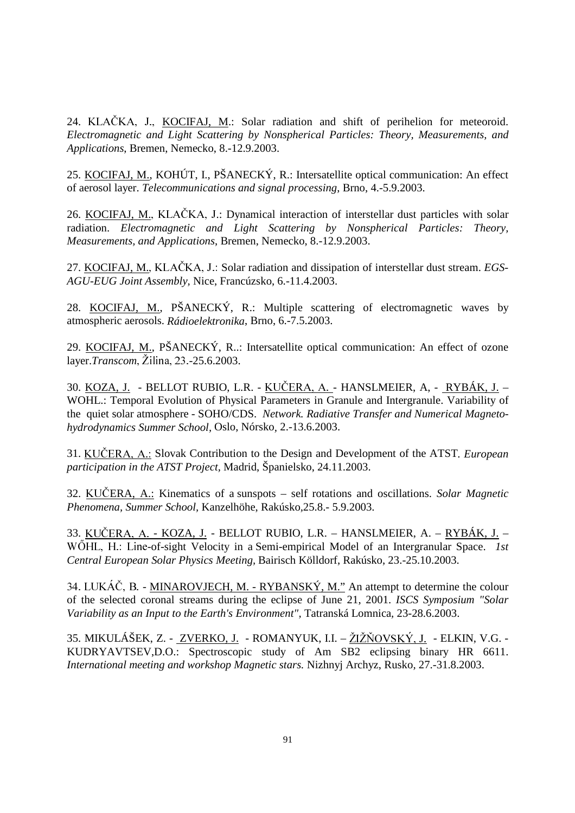24. KLAČKA, J., KOCIFAJ, M.: Solar radiation and shift of perihelion for meteoroid. *Electromagnetic and Light Scattering by Nonspherical Particles: Theory, Measurements, and Applications*, Bremen, Nemecko, 8.-12.9.2003.

25. KOCIFAJ, M., KOHÚT, I., PŠANECKÝ, R.: Intersatellite optical communication: An effect of aerosol layer. *Telecommunications and signal processing*, Brno, 4.-5.9.2003.

26. KOCIFAJ, M., KLAČKA, J.: Dynamical interaction of interstellar dust particles with solar radiation. *Electromagnetic and Light Scattering by Nonspherical Particles: Theory, Measurements, and Applications*, Bremen, Nemecko, 8.-12.9.2003.

27. KOCIFAJ, M., KLAČKA, J.: Solar radiation and dissipation of interstellar dust stream. *EGS*-*AGU-EUG Joint Assembly,* Nice, Francúzsko, 6.-11.4.2003.

28. KOCIFAJ, M., PŠANECKÝ, R.: Multiple scattering of electromagnetic waves by atmospheric aerosols. *Rádioelektronika*, Brno, 6.-7.5.2003.

29. KOCIFAJ, M., PŠANECKÝ, R..: Intersatellite optical communication: An effect of ozone layer.*Transcom*, Žilina, 23.-25.6.2003.

30. <u>KOZA, J.</u> - BELLOT RUBIO, L.R. - <u>KUČERA, A. -</u> HANSLMEIER, A, - <u>RYBÁK, J.</u> – WOHL.: Temporal Evolution of Physical Parameters in Granule and Intergranule. Variability of the quiet solar atmosphere - SOHO/CDS. *Network. Radiative Transfer and Numerical Magnetohydrodynamics Summer School,* Oslo, Nórsko*,* 2.-13.6.2003.

31. KUČERA, A.: Slovak Contribution to the Design and Development of the ATST. *European participation in the ATST Project,* Madrid, Španielsko, 24.11.2003.

32. KUČERA, A.: Kinematics of a sunspots – self rotations and oscillations. *Solar Magnetic Phenomena, Summer School,* Kanzelhöhe, Rakúsko*,*25.8.- 5.9.2003.

33. <u>KUČERA, A. - KOZA, J.</u> - BELLOT RUBIO, L.R. – HANSLMEIER, A. – <u>RYBÁK, J.</u> – WÖHL, H.: Line-of-sight Velocity in a Semi-empirical Model of an Intergranular Space. *1st Central European Solar Physics Meeting,* Bairisch Kölldorf, Rakúsko, 23.-25.10.2003.

34. LUKÁČ, B. - MINAROVJECH, M. - RYBANSKÝ, M." An attempt to determine the colour of the selected coronal streams during the eclipse of June 21, 2001. *ISCS Symposium "Solar Variability as an Input to the Earth's Environment",* Tatranská Lomnica*,* 23-28.6.2003.

35. MIKULÁŠEK, Z. - ZVERKO, J. - ROMANYUK, I.I. – ŽIŽŇOVSKÝ, J. - ELKIN, V.G. -KUDRYAVTSEV,D.O.: Spectroscopic study of Am SB2 eclipsing binary HR 6611. *International meeting and workshop Magnetic stars.* Nizhnyj Archyz, Rusko*,* 27.-31.8.2003.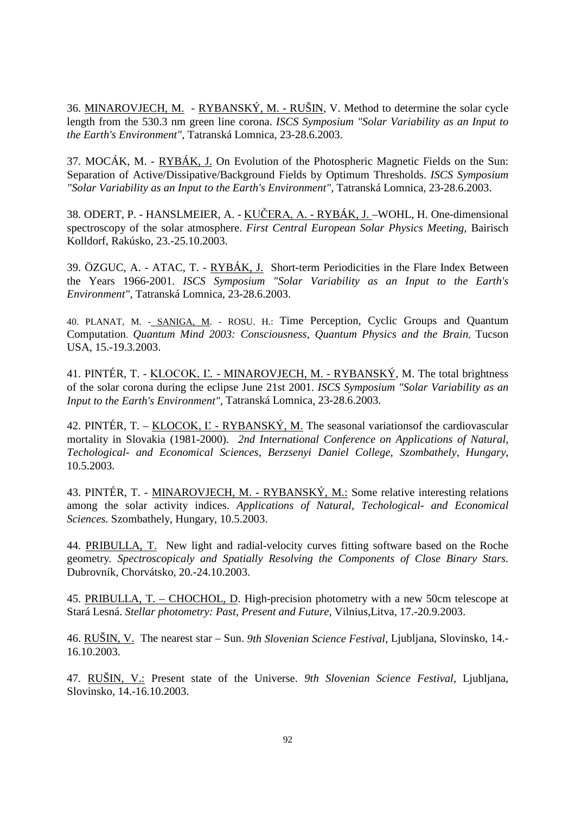36. MINAROVJECH, M. - RYBANSKÝ, M. - RUŠIN, V. Method to determine the solar cycle length from the 530.3 nm green line corona. *ISCS Symposium "Solar Variability as an Input to the Earth's Environment",* Tatranská Lomnica*,* 23-28.6.2003.

37. MOCÁK, M. - RYBÁK, J. On Evolution of the Photospheric Magnetic Fields on the Sun: Separation of Active/Dissipative/Background Fields by Optimum Thresholds. *ISCS Symposium "Solar Variability as an Input to the Earth's Environment",* Tatranská Lomnica*,* 23-28.6.2003.

38. ODERT, P. - HANSLMEIER, A. - KUČERA, A. - RYBÁK, J. - WOHL, H. One-dimensional spectroscopy of the solar atmosphere. *First Central European Solar Physics Meeting,* Bairisch Kolldorf, Rakúsko*,* 23.-25.10.2003.

39. ÖZGUC, A. - ATAC, T. - RYBÁK, J. Short-term Periodicities in the Flare Index Between the Years 1966-2001. *ISCS Symposium "Solar Variability as an Input to the Earth's Environment",* Tatranská Lomnica*,* 23-28.6.2003.

40. PLANAT, M. - SANIGA, M. - ROSU. H.: Time Perception, Cyclic Groups and Quantum Computation. *Quantum Mind 2003: Consciousness, Quantum Physics and the Brain*, Tucson USA, 15.-19.3.2003.

41. PINTÉR, T. - KLOCOK, L. - MINAROVJECH, M. - RYBANSKÝ, M. The total brightness of the solar corona during the eclipse June 21st 2001. *ISCS Symposium "Solar Variability as an Input to the Earth's Environment",* Tatranská Lomnica*,* 23-28.6.2003.

42. PINTÉR, T. – KLOCOK,  $E$  - RYBANSKÝ, M. The seasonal variations of the cardiovascular mortality in Slovakia (1981-2000). *2nd International Conference on Applications of Natural, Techological- and Economical Sciences, Berzsenyi Daniel College, Szombathely, Hungary,*  10.5.2003.

43. PINTÉR, T. - MINAROVJECH, M. - RYBANSKÝ, M.: Some relative interesting relations among the solar activity indices. *Applications of Natural, Techological- and Economical Sciences.* Szombathely, Hungary, 10.5.2003.

44. PRIBULLA, T. New light and radial-velocity curves fitting software based on the Roche geometry*. Spectroscopicaly and Spatially Resolving the Components of Close Binary Stars.*  Dubrovník, Chorvátsko*,* 20.-24.10.2003.

45. PRIBULLA, T. – CHOCHOL, D. High-precision photometry with a new 50cm telescope at Stará Lesná. *Stellar photometry: Past, Present and Future,* Vilnius,Litva*,* 17.-20.9.2003.

46. RUŠIN, V. The nearest star – Sun. *9th Slovenian Science Festival,* Ljubljana, Slovinsko, 14.- 16.10.2003.

47. RUŠIN, V.: Present state of the Universe. *9th Slovenian Science Festival,* Ljubljana, Slovinsko, 14.-16.10.2003.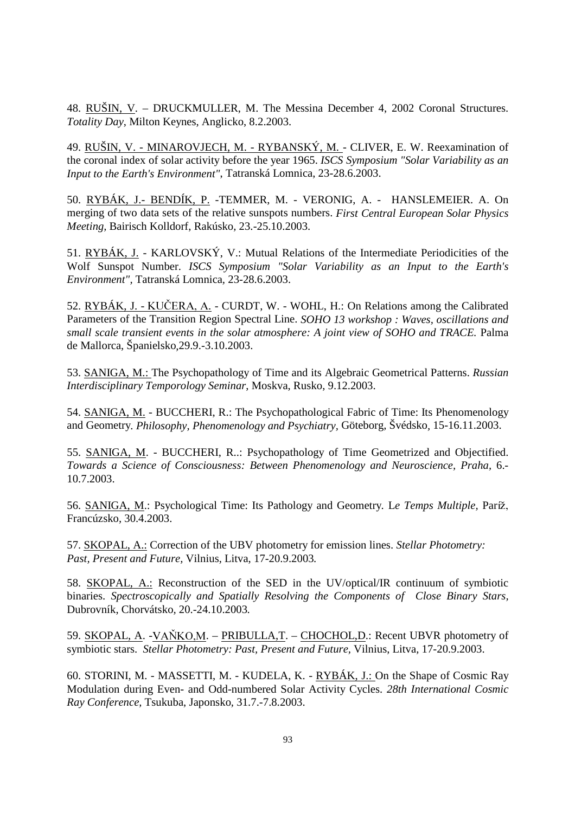48. RUŠIN, V. – DRUCKMULLER, M. The Messina December 4, 2002 Coronal Structures. *Totality Day*, Milton Keynes, Anglicko, 8.2.2003.

49. RUŠIN, V. - MINAROVJECH, M. - RYBANSKÝ, M. - CLIVER, E. W. Reexamination of the coronal index of solar activity before the year 1965. *ISCS Symposium "Solar Variability as an Input to the Earth's Environment"*, Tatranská Lomnica, 23-28.6.2003.

50. RYBÁK, J.- BENDÍK, P. -TEMMER, M. - VERONIG, A. - HANSLEMEIER. A. On merging of two data sets of the relative sunspots numbers. *First Central European Solar Physics Meeting,* Bairisch Kolldorf, Rakúsko*,* 23.-25.10.2003.

51. RYBÁK, J. - KARLOVSKÝ, V.: Mutual Relations of the Intermediate Periodicities of the Wolf Sunspot Number. *ISCS Symposium "Solar Variability as an Input to the Earth's Environment",* Tatranská Lomnica*,* 23-28.6.2003.

52. RYBÁK, J. - KUČERA, A. - CURDT, W. - WOHL, H.: On Relations among the Calibrated Parameters of the Transition Region Spectral Line. *SOHO 13 workshop : Waves, oscillations and small scale transient events in the solar atmosphere: A joint view of SOHO and TRACE.* Palma de Mallorca, Španielsko*,*29.9.-3.10.2003.

53. SANIGA, M.: The Psychopathology of Time and its Algebraic Geometrical Patterns. *Russian Interdisciplinary Temporology Seminar*, Moskva, Rusko, 9.12.2003.

54. SANIGA, M. - BUCCHERI, R.: The Psychopathological Fabric of Time: Its Phenomenology and Geometry*. Philosophy, Phenomenology and Psychiatry,* Göteborg, Švédsko*,* 15-16.11.2003.

55. SANIGA, M. - BUCCHERI, R..: Psychopathology of Time Geometrized and Objectified. *Towards a Science of Consciousness: Between Phenomenology and Neuroscience, Praha,* 6.- 10.7.2003.

56. SANIGA, M.: Psychological Time: Its Pathology and Geometry*.* L*e Temps Multiple,* Par Francúzsko*,* 30.4.2003.

57. SKOPAL, A.: Correction of the UBV photometry for emission lines. *Stellar Photometry: Past, Present and Future,* Vilnius, Litva, 17-20.9.2003*.*

58. SKOPAL, A.: Reconstruction of the SED in the UV/optical/IR continuum of symbiotic binaries. *Spectroscopically and Spatially Resolving the Components of Close Binary Stars,*  Dubrovník, Chorvátsko*,* 20.-24.10.2003*.*

59. SKOPAL, A. - VAŇKO,M. – PRIBULLA,T. – CHOCHOL,D.: Recent UBVR photometry of symbiotic stars. *Stellar Photometry: Past, Present and Future,* Vilnius, Litva*,* 17-20.9.2003.

60. STORINI, M. - MASSETTI, M. - KUDELA, K. - RYBÁK, J.: On the Shape of Cosmic Ray Modulation during Even- and Odd-numbered Solar Activity Cycles. *28th International Cosmic Ray Conference,* Tsukuba, Japonsko*,* 31.7.-7.8.2003.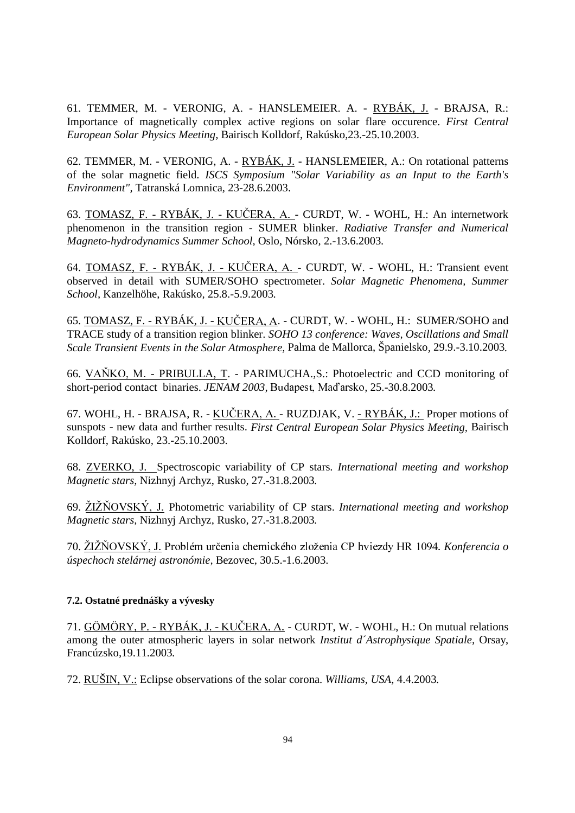61. TEMMER, M. - VERONIG, A. - HANSLEMEIER. A. - RYBÁK, J. - BRAJSA, R.: Importance of magnetically complex active regions on solar flare occurence. *First Central European Solar Physics Meeting,* Bairisch Kolldorf, Rakúsko*,*23.-25.10.2003.

62. TEMMER, M. - VERONIG, A. - RYBÁK, J. - HANSLEMEIER, A.: On rotational patterns of the solar magnetic field. *ISCS Symposium "Solar Variability as an Input to the Earth's Environment",* Tatranská Lomnica*,* 23-28.6.2003.

63. TOMASZ, F. - RYBÁK, J. - KUČERA, A. - CURDT, W. - WOHL, H.: An internetwork phenomenon in the transition region - SUMER blinker. *Radiative Transfer and Numerical Magneto-hydrodynamics Summer School,* Oslo, Nórsko*,* 2.-13.6.2003*.*

64. TOMASZ, F. - RYBÁK, J. - KUČERA, A. - CURDT, W. - WOHL, H.: Transient event observed in detail with SUMER/SOHO spectrometer. *Solar Magnetic Phenomena, Summer School,* Kanzelhöhe, Rakúsko*,* 25.8.-5.9.2003*.*

65. <u>TOMASZ, F. - RYBÁK, J. - KUČERA, A</u>. - CURDT, W. - WOHL, H.: SUMER/SOHO and TRACE study of a transition region blinker. *SOHO 13 conference: Waves, Oscillations and Small Scale Transient Events in the Solar Atmosphere,* Palma de Mallorca, Španielsko*,* 29.9.-3.10.2003*.*

66. VAŇKO, M. - PRIBULLA, T. - PARIMUCHA., S.: Photoelectric and CCD monitoring of short-period contact binaries. *JENAM 2003*, Budapest, Maďarsko, 25.-30.8.2003.

67. WOHL, H. - BRAJSA, R. - <u>KUČERA, A.</u> - RUZDJAK, V. <u>- RYBÁK, J.:</u> Proper motions of sunspots - new data and further results. *First Central European Solar Physics Meeting,* Bairisch Kolldorf, Rakúsko*,* 23.-25.10.2003.

68. ZVERKO, J. Spectroscopic variability of CP stars. *International meeting and workshop Magnetic stars,* Nizhnyj Archyz, Rusko*,* 27.-31.8.2003*.*

69.  $\angle ZIZNOVSKY, J.$  Photometric variability of CP stars. *International meeting and workshop Magnetic stars,* Nizhnyj Archyz, Rusko*,* 27.-31.8.2003*.* 

70. ŽIŽŇOVSKÝ, J. Problém určenia chemického zloženia CP hviezdy HR 1094. Konferencia o *úspechoch stelárnej astronómie,* Bezovec, 30.5.-1.6.2003.

## **7.2. Ostatné prednášky a vývesky**

71. GÖMÖRY, P. - RYBÁK, J. - KUČERA, A. - CURDT, W. - WOHL, H.: On mutual relations among the outer atmospheric layers in solar network *Institut d´Astrophysique Spatiale,* Orsay, Francúzsko*,*19.11.2003*.* 

72. RUŠIN, V.: Eclipse observations of the solar corona. *Williams, USA,* 4.4.2003*.*